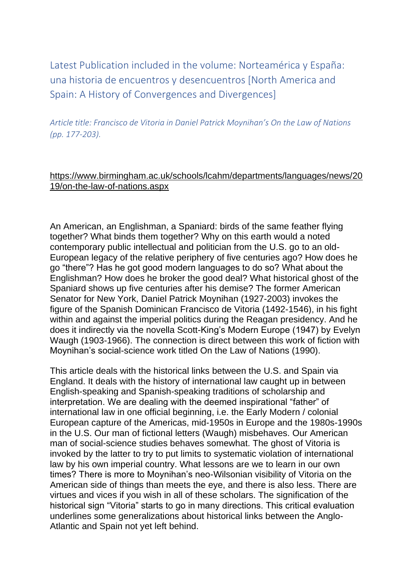Latest Publication included in the volume: Norteamérica y España: una historia de encuentros y desencuentros [North America and Spain: A History of Convergences and Divergences]

*Article title: Francisco de Vitoria in Daniel Patrick Moynihan's On the Law of Nations (pp. 177-203).*

## https://www.birmingham.ac.uk/schools/lcahm/departments/languages/news/20 19/on-the-law-of-nations.aspx

An American, an Englishman, a Spaniard: birds of the same feather flying together? What binds them together? Why on this earth would a noted contemporary public intellectual and politician from the U.S. go to an old-European legacy of the relative periphery of five centuries ago? How does he go "there"? Has he got good modern languages to do so? What about the Englishman? How does he broker the good deal? What historical ghost of the Spaniard shows up five centuries after his demise? The former American Senator for New York, Daniel Patrick Moynihan (1927-2003) invokes the figure of the Spanish Dominican Francisco de Vitoria (1492-1546), in his fight within and against the imperial politics during the Reagan presidency. And he does it indirectly via the novella Scott-King's Modern Europe (1947) by Evelyn Waugh (1903-1966). The connection is direct between this work of fiction with Moynihan's social-science work titled On the Law of Nations (1990).

This article deals with the historical links between the U.S. and Spain via England. It deals with the history of international law caught up in between English-speaking and Spanish-speaking traditions of scholarship and interpretation. We are dealing with the deemed inspirational "father" of international law in one official beginning, i.e. the Early Modern / colonial European capture of the Americas, mid-1950s in Europe and the 1980s-1990s in the U.S. Our man of fictional letters (Waugh) misbehaves. Our American man of social-science studies behaves somewhat. The ghost of Vitoria is invoked by the latter to try to put limits to systematic violation of international law by his own imperial country. What lessons are we to learn in our own times? There is more to Moynihan's neo-Wilsonian visibility of Vitoria on the American side of things than meets the eye, and there is also less. There are virtues and vices if you wish in all of these scholars. The signification of the historical sign "Vitoria" starts to go in many directions. This critical evaluation underlines some generalizations about historical links between the Anglo-Atlantic and Spain not yet left behind.